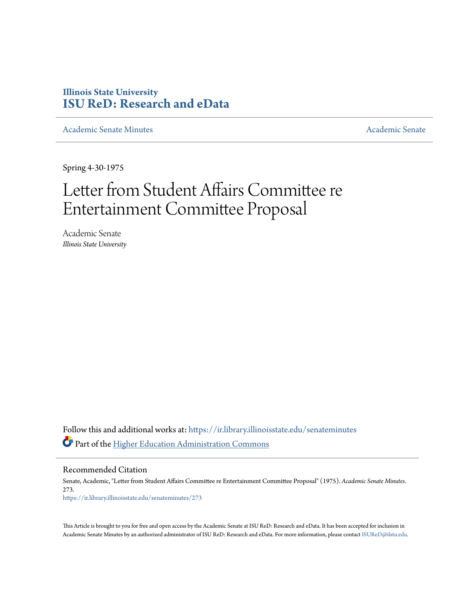## **Illinois State University [ISU ReD: Research and eData](https://ir.library.illinoisstate.edu?utm_source=ir.library.illinoisstate.edu%2Fsenateminutes%2F273&utm_medium=PDF&utm_campaign=PDFCoverPages)**

[Academic Senate Minutes](https://ir.library.illinoisstate.edu/senateminutes?utm_source=ir.library.illinoisstate.edu%2Fsenateminutes%2F273&utm_medium=PDF&utm_campaign=PDFCoverPages) [Academic Senate](https://ir.library.illinoisstate.edu/senate?utm_source=ir.library.illinoisstate.edu%2Fsenateminutes%2F273&utm_medium=PDF&utm_campaign=PDFCoverPages) Academic Senate

Spring 4-30-1975

## Letter from Student Affairs Committee re Entertainment Committee Proposal

Academic Senate *Illinois State University*

Follow this and additional works at: [https://ir.library.illinoisstate.edu/senateminutes](https://ir.library.illinoisstate.edu/senateminutes?utm_source=ir.library.illinoisstate.edu%2Fsenateminutes%2F273&utm_medium=PDF&utm_campaign=PDFCoverPages) Part of the [Higher Education Administration Commons](http://network.bepress.com/hgg/discipline/791?utm_source=ir.library.illinoisstate.edu%2Fsenateminutes%2F273&utm_medium=PDF&utm_campaign=PDFCoverPages)

Recommended Citation

Senate, Academic, "Letter from Student Affairs Committee re Entertainment Committee Proposal" (1975). *Academic Senate Minutes*. 273. [https://ir.library.illinoisstate.edu/senateminutes/273](https://ir.library.illinoisstate.edu/senateminutes/273?utm_source=ir.library.illinoisstate.edu%2Fsenateminutes%2F273&utm_medium=PDF&utm_campaign=PDFCoverPages)

This Article is brought to you for free and open access by the Academic Senate at ISU ReD: Research and eData. It has been accepted for inclusion in Academic Senate Minutes by an authorized administrator of ISU ReD: Research and eData. For more information, please contact [ISUReD@ilstu.edu.](mailto:ISUReD@ilstu.edu)